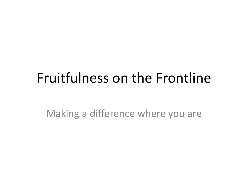### Fruitfulness on the Frontline

Making a difference where you are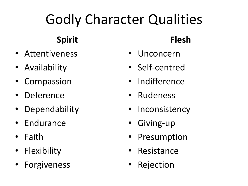# Godly Character Qualities

### **Spirit**

- Attentiveness
- Availability
- Compassion
- Deference
- Dependability
- Endurance
- Faith
- Flexibility
- Forgiveness

#### **Flesh**

- Unconcern
- Self-centred
- Indifference
- Rudeness
- Inconsistency
- Giving-up
- Presumption
- Resistance
- Rejection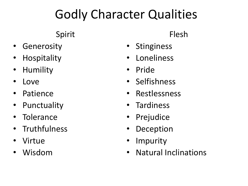### Godly Character Qualities

#### Spirit

- Generosity
- **Hospitality**
- Humility
- Love
- Patience
- Punctuality
- **Tolerance**
- Truthfulness
- Virtue
- Wisdom

#### Flesh

- **Stinginess**
- Loneliness
- Pride
- Selfishness
- Restlessness
- Tardiness
- Prejudice
- **Deception**
- Impurity
- Natural Inclinations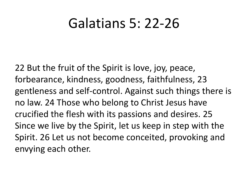### Galatians 5: 22-26

22 But the fruit of the Spirit is love, joy, peace, forbearance, kindness, goodness, faithfulness, 23 gentleness and self-control. Against such things there is no law. 24 Those who belong to Christ Jesus have crucified the flesh with its passions and desires. 25 Since we live by the Spirit, let us keep in step with the Spirit. 26 Let us not become conceited, provoking and envying each other.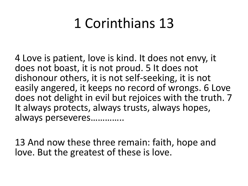## 1 Corinthians 13

4 Love is patient, love is kind. It does not envy, it does not boast, it is not proud. 5 It does not dishonour others, it is not self-seeking, it is not easily angered, it keeps no record of wrongs. 6 Love does not delight in evil but rejoices with the truth. 7 It always protects, always trusts, always hopes, always perseveres…………..

13 And now these three remain: faith, hope and love. But the greatest of these is love.